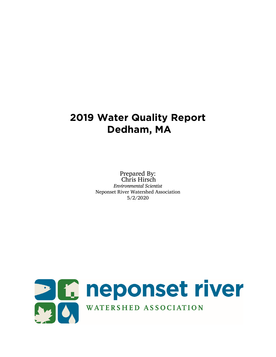# **2019 Water Quality Report Dedham, MA**

Prepared By: Chris Hirsch *Environmental Scientist* Neponset River Watershed Association 5/2/2020

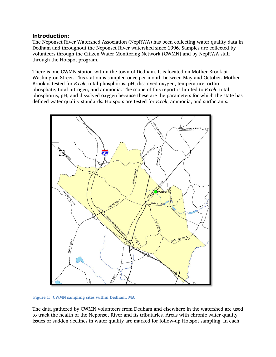#### Introduction:

The Neponset River Watershed Association (NepRWA) has been collecting water quality data in Dedham and throughout the Neponset River watershed since 1996. Samples are collected by volunteers through the Citizen Water Monitoring Network (CWMN) and by NepRWA staff through the Hotspot program.

There is one CWMN station within the town of Dedham. It is located on Mother Brook at Washington Street. This station is sampled once per month between May and October. Mother Brook is tested for *E.coli*, total phosphorus, pH, dissolved oxygen, temperature, orthophosphate, total nitrogen, and ammonia. The scope of this report is limited to *E.coli*, total phosphorus, pH, and dissolved oxygen because these are the parameters for which the state has defined water quality standards. Hotspots are tested for *E.coli*, ammonia, and surfactants.



**Figure 1: CWMN sampling sites within Dedham, MA**

The data gathered by CWMN volunteers from Dedham and elsewhere in the watershed are used to track the health of the Neponset River and its tributaries. Areas with chronic water quality issues or sudden declines in water quality are marked for follow-up Hotspot sampling. In each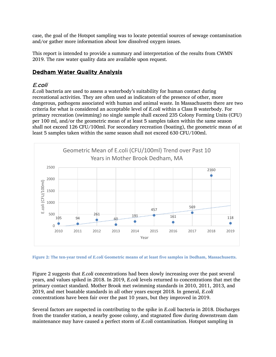case, the goal of the Hotspot sampling was to locate potential sources of sewage contamination and/or gather more information about low dissolved oxygen issues.

This report is intended to provide a summary and interpretation of the results from CWMN 2019. The raw water quality data are available upon request.

## Dedham Water Quality Analysis

#### E.coli

*E.coli* bacteria are used to assess a waterbody's suitability for human contact during recreational activities. They are often used as indicators of the presence of other, more dangerous, pathogens associated with human and animal waste. In Massachusetts there are two criteria for what is considered an acceptable level of *E.coli* within a Class B waterbody. For primary recreation (swimming) no single sample shall exceed 235 Colony Forming Units (CFU) per 100 ml, and/or the geometric mean of at least 5 samples taken within the same season shall not exceed 126 CFU/100ml. For secondary recreation (boating), the geometric mean of at least 5 samples taken within the same season shall not exceed 630 CFU/100ml.



**Figure 2: The ten-year trend of** *E.coli* **Geometric means of at least five samples in Dedham, Massachusetts.** 

Figure 2 suggests that *E.coli* concentrations had been slowly increasing over the past several years, and values spiked in 2018. In 2019, *E.coli* levels returned to concentrations that met the primary contact standard. Mother Brook met swimming standards in 2010, 2011, 2013, and 2019, and met boatable standards in all other years except 2018. In general, *E.coli* concentrations have been fair over the past 10 years, but they improved in 2019.

Several factors are suspected in contributing to the spike in *E.coli* bacteria in 2018. Discharges from the transfer station, a nearby goose colony, and stagnated flow during downstream dam maintenance may have caused a perfect storm of *E.coli* contamination. Hotspot sampling in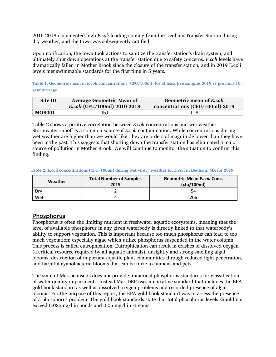2016-2018 documented high *E.coli* loading coming from the Dedham Transfer Station during dry weather, and the town was subsequently notified.

Upon notification, the town took actions to sanitize the transfer station's drain system, and ultimately shut down operations at the transfer station due to safety concerns. *E.coli* levels have dramatically fallen in Mother Brook since the closure of the transfer station, and in 2019 E.coli levels met swimmable standards for the first time in 5 years.

**Table 1: Geometric mean of** *E.coli* **concentrations (CFU/100ml) for at least five samples 2019 vs previous 10 year average**

| Site ID       | <b>Average Geometric Mean of</b><br>E.coli (CFU/100ml) 2010-2018 | Geometric mean of E.coli<br>concentrations (CFU/100ml) 2019 |
|---------------|------------------------------------------------------------------|-------------------------------------------------------------|
| <b>MOB001</b> | 451                                                              | 118                                                         |

Table 2 shows a positive correlation between *E.coli* concentrations and wet weather. Stormwater runoff is a common source of *E.coli* contamination. While concentrations during wet weather are higher than we would like, they are orders of magnitude lower than they have been in the past. This suggests that shutting down the transfer station has eliminated a major source of pollution in Mother Brook. We will continue to monitor the situation to confirm this finding.

| Weather | <b>Total Number of Samples</b><br>2019 | <b>Geometric Mean E.coli Conc.</b><br>(cfu/100ml) |
|---------|----------------------------------------|---------------------------------------------------|
| Drv     |                                        | 54                                                |
| Wet     |                                        | 206                                               |

**Table 2:** *E.coli* **concentrations (CFU/100ml) during wet vs dry weather for** *E.coli* **in Dedham, MA for 2019**

#### Phosphorus

Phosphorus is often the limiting nutrient in freshwater aquatic ecosystems, meaning that the level of available phosphorus in any given waterbody is directly linked to that waterbody's ability to support vegetation. This is important because too much phosphorus can lead to too much vegetation; especially algae which utilize phosphorus suspended in the water column. This process is called eutrophication. Eutrophication can result in crashes of dissolved oxygen (a critical resource required by all aquatic animals), unsightly and strong-smelling algal blooms, destruction of important aquatic plant communities through reduced light penetration, and harmful cyanobacteria blooms that can be toxic to humans and pets.

The state of Massachusetts does not provide numerical phosphorus standards for classification of water quality impairments. Instead MassDEP uses a narrative standard that includes the EPA gold book standard as well as dissolved oxygen problems and recorded presence of algal blooms. For the purpose of this report, the EPA gold book standard was to assess the presence of a phosphorus problem. The gold book standards state that total phosphorus levels should not exceed 0.025mg/l in ponds and 0.05 mg/l in streams.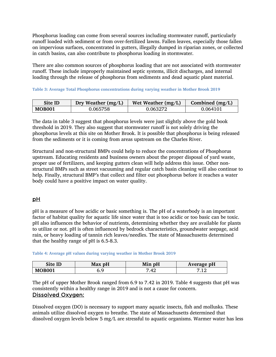Phosphorus loading can come from several sources including stormwater runoff, particularly runoff loaded with sediment or from over-fertilized lawns. Fallen leaves, especially those fallen on impervious surfaces, concentrated in gutters, illegally dumped in riparian zones, or collected in catch basins, can also contribute to phosphorus loading in stormwater.

There are also common sources of phosphorus loading that are not associated with stormwater runoff. These include improperly maintained septic systems, illicit discharges, and internal loading through the release of phosphorus from sediments and dead aquatic plant material.

**Table 3: Average Total Phosphorus concentrations during varying weather in Mother Brook 2019**

| Site ID       | Dry Weather $(mg/L)$ | Wet Weather $(mg/L)$ | Combined $(mg/L)$ |
|---------------|----------------------|----------------------|-------------------|
| <b>MOB001</b> | 0.065758             | 0.063272             | 0.064101          |

The data in table 3 suggest that phosphorus levels were just slightly above the gold book threshold in 2019. They also suggest that stormwater runoff is not solely driving the phosphorus levels at this site on Mother Brook. It is possible that phosphorus is being released from the sediments or it is coming from areas upstream on the Charles River.

Structural and non-structural BMPs could help to reduce the concentrations of Phosphorus upstream. Educating residents and business owners about the proper disposal of yard waste, proper use of fertilizers, and keeping gutters clean will help address this issue. Other nonstructural BMPs such as street vacuuming and regular catch basin cleaning will also continue to help. Finally, structural BMP's that collect and filter out phosphorus before it reaches a water body could have a positive impact on water quality.

### pH

pH is a measure of how acidic or basic something is. The pH of a waterbody is an important factor of habitat quality for aquatic life since water that is too acidic or too basic can be toxic. pH also influences the behavior of nutrients, determining whether they are available for plants to utilize or not. pH is often influenced by bedrock characteristics, groundwater seepage, acid rain, or heavy loading of tannin rich leaves/needles. The state of Massachusetts determined that the healthy range of pH is 6.5-8.3.

**Table 4: Average pH values during varying weather in Mother Brook 2019**

| Site ID       | Max pH | Min pH            | Average pH |
|---------------|--------|-------------------|------------|
| <b>MOB001</b> |        | $\Lambda^c$<br>TZ | ∸∸         |

The pH of upper Mother Brook ranged from 6.9 to 7.42 in 2019. Table 4 suggests that pH was consistently within a healthy range in 2019 and is not a cause for concern. Dissolved Oxygen:

Dissolved oxygen (DO) is necessary to support many aquatic insects, fish and mollusks. These animals utilize dissolved oxygen to breathe. The state of Massachusetts determined that dissolved oxygen levels below 5 mg/L are stressful to aquatic organisms. Warmer water has less